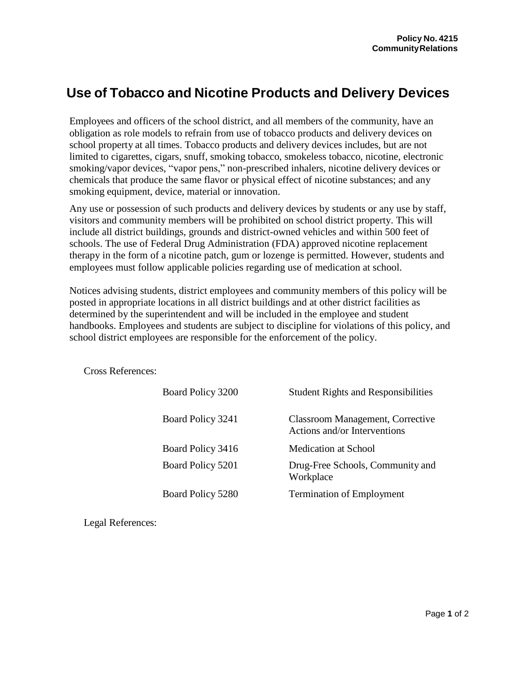## **Use of Tobacco and Nicotine Products and Delivery Devices**

Employees and officers of the school district, and all members of the community, have an obligation as role models to refrain from use of tobacco products and delivery devices on school property at all times. Tobacco products and delivery devices includes, but are not limited to cigarettes, cigars, snuff, smoking tobacco, smokeless tobacco, nicotine, electronic smoking/vapor devices, "vapor pens," non-prescribed inhalers, nicotine delivery devices or chemicals that produce the same flavor or physical effect of nicotine substances; and any smoking equipment, device, material or innovation.

Any use or possession of such products and delivery devices by students or any use by staff, visitors and community members will be prohibited on school district property. This will include all district buildings, grounds and district-owned vehicles and within 500 feet of schools. The use of Federal Drug Administration (FDA) approved nicotine replacement therapy in the form of a nicotine patch, gum or lozenge is permitted. However, students and employees must follow applicable policies regarding use of medication at school.

Notices advising students, district employees and community members of this policy will be posted in appropriate locations in all district buildings and at other district facilities as determined by the superintendent and will be included in the employee and student handbooks. Employees and students are subject to discipline for violations of this policy, and school district employees are responsible for the enforcement of the policy.

Cross References:

| Board Policy 3200 | <b>Student Rights and Responsibilities</b>                              |
|-------------------|-------------------------------------------------------------------------|
| Board Policy 3241 | <b>Classroom Management, Corrective</b><br>Actions and/or Interventions |
| Board Policy 3416 | Medication at School                                                    |
| Board Policy 5201 | Drug-Free Schools, Community and<br>Workplace                           |
| Board Policy 5280 | <b>Termination of Employment</b>                                        |

Legal References: